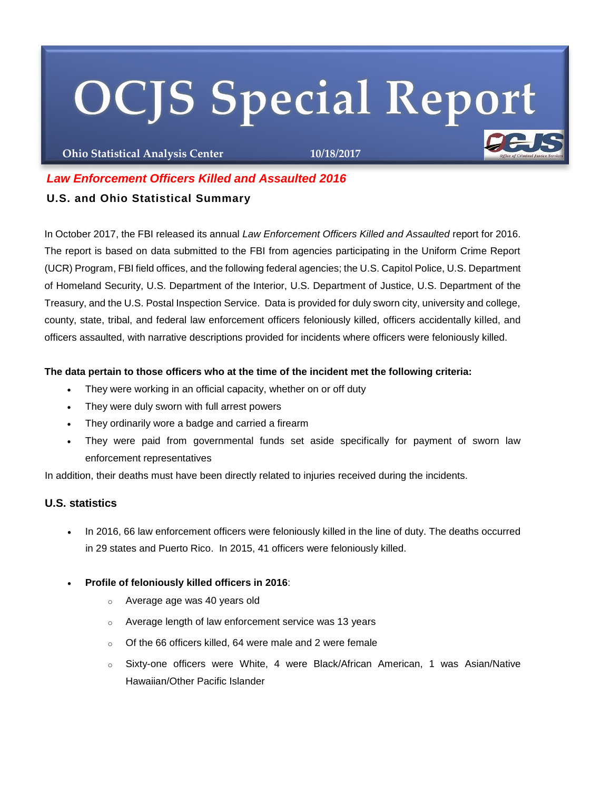# **OCJS Special Report**

**Ohio Statistical Analysis Center 10/18/2017**

# *Law Enforcement Officers Killed and Assaulted 2016*

## **U.S. and Ohio Statistical Summary**

In October 2017, the FBI released its annual *Law Enforcement Officers Killed and Assaulted* report for 2016. The report is based on data submitted to the FBI from agencies participating in the Uniform Crime Report (UCR) Program, FBI field offices, and the following federal agencies; the U.S. Capitol Police, U.S. Department of Homeland Security, U.S. Department of the Interior, U.S. Department of Justice, U.S. Department of the Treasury, and the U.S. Postal Inspection Service. Data is provided for duly sworn city, university and college, county, state, tribal, and federal law enforcement officers feloniously killed, officers accidentally killed, and officers assaulted, with narrative descriptions provided for incidents where officers were feloniously killed.

## **The data pertain to those officers who at the time of the incident met the following criteria:**

- They were working in an official capacity, whether on or off duty
- They were duly sworn with full arrest powers
- They ordinarily wore a badge and carried a firearm
- They were paid from governmental funds set aside specifically for payment of sworn law enforcement representatives

In addition, their deaths must have been directly related to injuries received during the incidents.

## **U.S. statistics**

- In 2016, 66 law enforcement officers were feloniously killed in the line of duty. The deaths occurred in 29 states and Puerto Rico. In 2015, 41 officers were feloniously killed.
- **Profile of feloniously killed officers in 2016**:
	- o Average age was 40 years old
	- o Average length of law enforcement service was 13 years
	- o Of the 66 officers killed, 64 were male and 2 were female
	- o Sixty-one officers were White, 4 were Black/African American, 1 was Asian/Native Hawaiian/Other Pacific Islander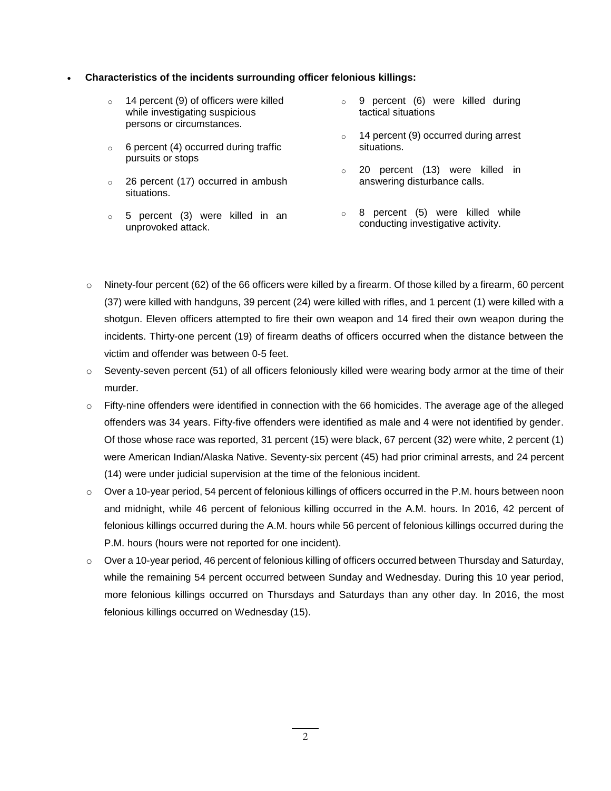## **Characteristics of the incidents surrounding officer felonious killings:**

- o 14 percent (9) of officers were killed while investigating suspicious persons or circumstances.
- $\circ$  6 percent (4) occurred during traffic pursuits or stops
- o 26 percent (17) occurred in ambush situations.
- o 5 percent (3) were killed in an unprovoked attack.
- o 9 percent (6) were killed during tactical situations
- $\circ$  14 percent (9) occurred during arrest situations.
- o 20 percent (13) were killed in answering disturbance calls.
- o 8 percent (5) were killed while conducting investigative activity.
- o Ninety-four percent (62) of the 66 officers were killed by a firearm. Of those killed by a firearm, 60 percent (37) were killed with handguns, 39 percent (24) were killed with rifles, and 1 percent (1) were killed with a shotgun. Eleven officers attempted to fire their own weapon and 14 fired their own weapon during the incidents. Thirty-one percent (19) of firearm deaths of officers occurred when the distance between the victim and offender was between 0-5 feet.
- $\circ$  Seventy-seven percent (51) of all officers feloniously killed were wearing body armor at the time of their murder.
- o Fifty-nine offenders were identified in connection with the 66 homicides. The average age of the alleged offenders was 34 years. Fifty-five offenders were identified as male and 4 were not identified by gender. Of those whose race was reported, 31 percent (15) were black, 67 percent (32) were white, 2 percent (1) were American Indian/Alaska Native. Seventy-six percent (45) had prior criminal arrests, and 24 percent (14) were under judicial supervision at the time of the felonious incident.
- o Over a 10-year period, 54 percent of felonious killings of officers occurred in the P.M. hours between noon and midnight, while 46 percent of felonious killing occurred in the A.M. hours. In 2016, 42 percent of felonious killings occurred during the A.M. hours while 56 percent of felonious killings occurred during the P.M. hours (hours were not reported for one incident).
- o Over a 10-year period, 46 percent of felonious killing of officers occurred between Thursday and Saturday, while the remaining 54 percent occurred between Sunday and Wednesday. During this 10 year period, more felonious killings occurred on Thursdays and Saturdays than any other day. In 2016, the most felonious killings occurred on Wednesday (15).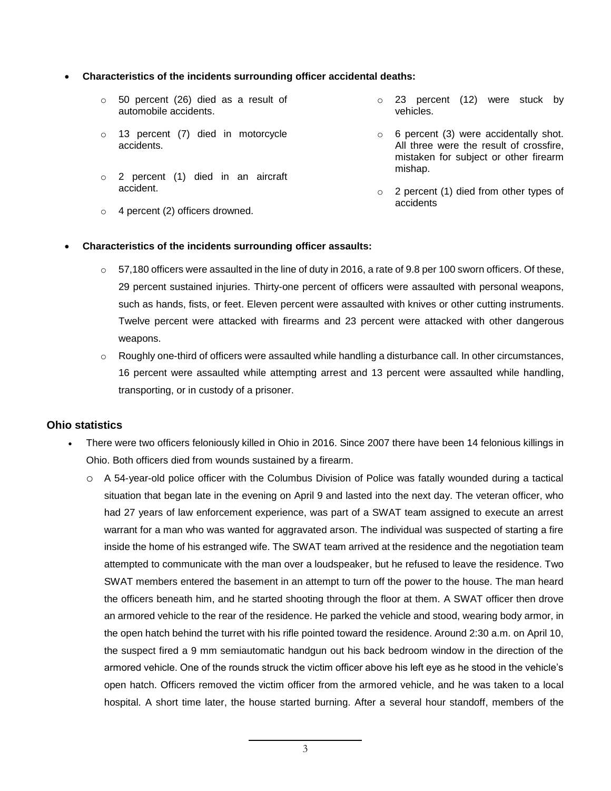## **Characteristics of the incidents surrounding officer accidental deaths:**

- o 50 percent (26) died as a result of automobile accidents.
- o 13 percent (7) died in motorcycle accidents.
- o 2 percent (1) died in an aircraft accident.
- $\circ$  4 percent (2) officers drowned.
- o 23 percent (12) were stuck by vehicles.
- o 6 percent (3) were accidentally shot. All three were the result of crossfire, mistaken for subject or other firearm mishap.
- o 2 percent (1) died from other types of accidents

### **Characteristics of the incidents surrounding officer assaults:**

- $\circ$  57,180 officers were assaulted in the line of duty in 2016, a rate of 9.8 per 100 sworn officers. Of these, 29 percent sustained injuries. Thirty-one percent of officers were assaulted with personal weapons, such as hands, fists, or feet. Eleven percent were assaulted with knives or other cutting instruments. Twelve percent were attacked with firearms and 23 percent were attacked with other dangerous weapons.
- $\circ$  Roughly one-third of officers were assaulted while handling a disturbance call. In other circumstances, 16 percent were assaulted while attempting arrest and 13 percent were assaulted while handling, transporting, or in custody of a prisoner.

### **Ohio statistics**

- There were two officers feloniously killed in Ohio in 2016. Since 2007 there have been 14 felonious killings in Ohio. Both officers died from wounds sustained by a firearm.
	- o A 54-year-old police officer with the Columbus Division of Police was fatally wounded during a tactical situation that began late in the evening on April 9 and lasted into the next day. The veteran officer, who had 27 years of law enforcement experience, was part of a SWAT team assigned to execute an arrest warrant for a man who was wanted for aggravated arson. The individual was suspected of starting a fire inside the home of his estranged wife. The SWAT team arrived at the residence and the negotiation team attempted to communicate with the man over a loudspeaker, but he refused to leave the residence. Two SWAT members entered the basement in an attempt to turn off the power to the house. The man heard the officers beneath him, and he started shooting through the floor at them. A SWAT officer then drove an armored vehicle to the rear of the residence. He parked the vehicle and stood, wearing body armor, in the open hatch behind the turret with his rifle pointed toward the residence. Around 2:30 a.m. on April 10, the suspect fired a 9 mm semiautomatic handgun out his back bedroom window in the direction of the armored vehicle. One of the rounds struck the victim officer above his left eye as he stood in the vehicle's open hatch. Officers removed the victim officer from the armored vehicle, and he was taken to a local hospital. A short time later, the house started burning. After a several hour standoff, members of the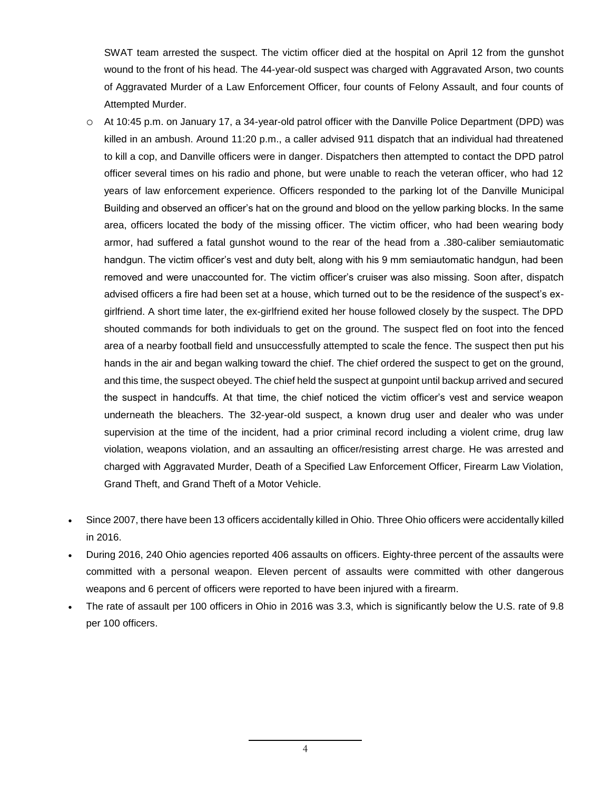SWAT team arrested the suspect. The victim officer died at the hospital on April 12 from the gunshot wound to the front of his head. The 44-year-old suspect was charged with Aggravated Arson, two counts of Aggravated Murder of a Law Enforcement Officer, four counts of Felony Assault, and four counts of Attempted Murder.

- o At 10:45 p.m. on January 17, a 34-year-old patrol officer with the Danville Police Department (DPD) was killed in an ambush. Around 11:20 p.m., a caller advised 911 dispatch that an individual had threatened to kill a cop, and Danville officers were in danger. Dispatchers then attempted to contact the DPD patrol officer several times on his radio and phone, but were unable to reach the veteran officer, who had 12 years of law enforcement experience. Officers responded to the parking lot of the Danville Municipal Building and observed an officer's hat on the ground and blood on the yellow parking blocks. In the same area, officers located the body of the missing officer. The victim officer, who had been wearing body armor, had suffered a fatal gunshot wound to the rear of the head from a .380-caliber semiautomatic handgun. The victim officer's vest and duty belt, along with his 9 mm semiautomatic handgun, had been removed and were unaccounted for. The victim officer's cruiser was also missing. Soon after, dispatch advised officers a fire had been set at a house, which turned out to be the residence of the suspect's exgirlfriend. A short time later, the ex-girlfriend exited her house followed closely by the suspect. The DPD shouted commands for both individuals to get on the ground. The suspect fled on foot into the fenced area of a nearby football field and unsuccessfully attempted to scale the fence. The suspect then put his hands in the air and began walking toward the chief. The chief ordered the suspect to get on the ground, and this time, the suspect obeyed. The chief held the suspect at gunpoint until backup arrived and secured the suspect in handcuffs. At that time, the chief noticed the victim officer's vest and service weapon underneath the bleachers. The 32-year-old suspect, a known drug user and dealer who was under supervision at the time of the incident, had a prior criminal record including a violent crime, drug law violation, weapons violation, and an assaulting an officer/resisting arrest charge. He was arrested and charged with Aggravated Murder, Death of a Specified Law Enforcement Officer, Firearm Law Violation, Grand Theft, and Grand Theft of a Motor Vehicle.
- Since 2007, there have been 13 officers accidentally killed in Ohio. Three Ohio officers were accidentally killed in 2016.
- During 2016, 240 Ohio agencies reported 406 assaults on officers. Eighty-three percent of the assaults were committed with a personal weapon. Eleven percent of assaults were committed with other dangerous weapons and 6 percent of officers were reported to have been injured with a firearm.
- The rate of assault per 100 officers in Ohio in 2016 was 3.3, which is significantly below the U.S. rate of 9.8 per 100 officers.